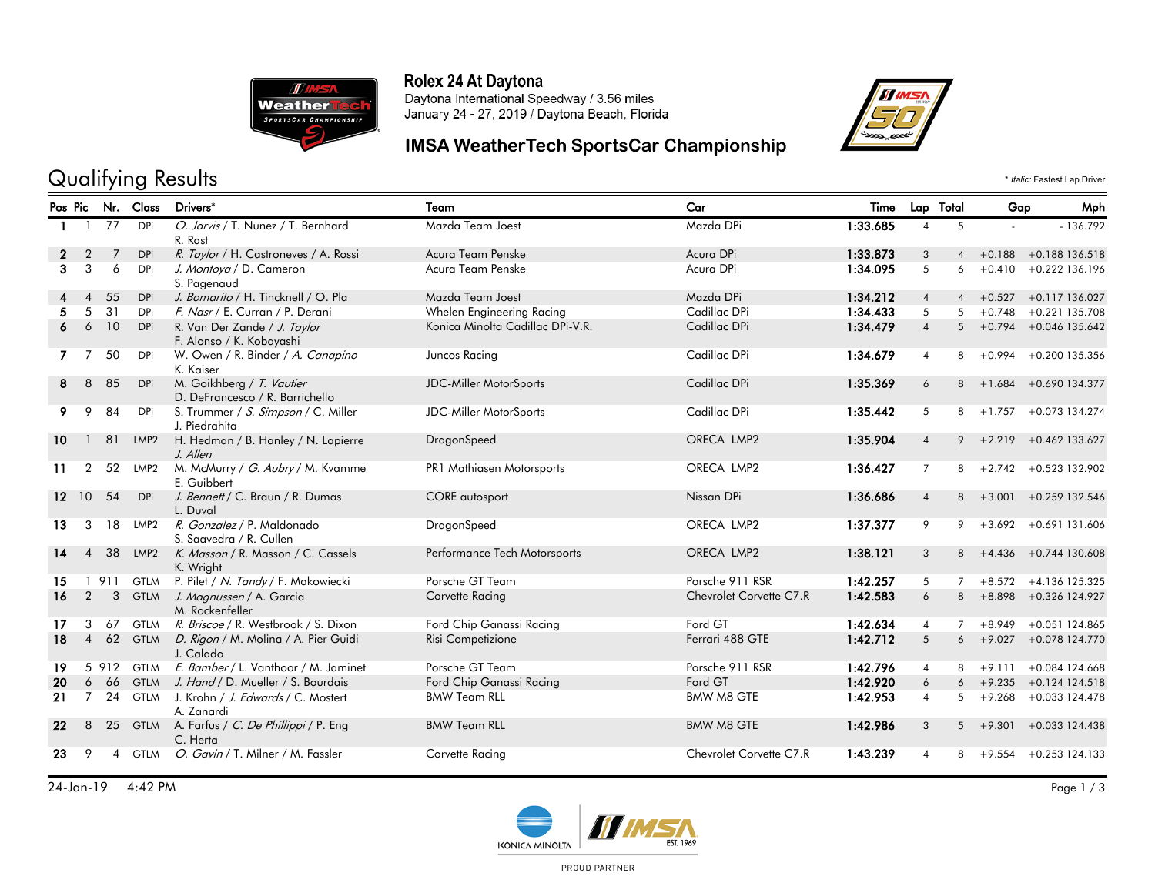

#### Rolex 24 At Daytona

Daytona International Speedway / 3.56 miles January 24 - 27, 2019 / Daytona Beach, Florida

## IMSA WeatherTech SportsCar Championship



# Qualifying Results  $\cdot$  *Italic:* Fastest Lap Driver

|              |                |              | Pos Pic Nr. Class | Drivers*                                                     | Team                             | Car                     | Time     |                | Lap Total      | Gap            | Mph                        |
|--------------|----------------|--------------|-------------------|--------------------------------------------------------------|----------------------------------|-------------------------|----------|----------------|----------------|----------------|----------------------------|
| $\mathbf{1}$ | $\mathbf{1}$   | 77           | DPi               | O. Jarvis / T. Nunez / T. Bernhard<br>R. Rast                | Mazda Team Joest                 | Mazda DPi               | 1:33.685 | 4              | 5              | $\blacksquare$ | $-136.792$                 |
| $\mathbf{2}$ | $\overline{2}$ | 7            | DPi               | R. Taylor / H. Castroneves / A. Rossi                        | Acura Team Penske                | Acura DPi               | 1:33.873 | 3              | $\overline{4}$ |                | $+0.188$ $+0.188$ 136.518  |
| 3            | 3              | 6            | <b>DPi</b>        | J. Montoya / D. Cameron<br>S. Pagenaud                       | Acura Team Penske                | Acura DPi               | 1:34.095 | 5              | 6              |                | $+0.410 + 0.222136.196$    |
|              | $\overline{4}$ | 55           | <b>DPi</b>        | J. Bomarito / H. Tincknell / O. Pla                          | Mazda Team Joest                 | Mazda DPi               | 1:34.212 | $\overline{4}$ | $\overline{4}$ |                | $+0.527 +0.117136.027$     |
| 5.           | 5              | 31           | <b>DPi</b>        | F. Nasr / E. Curran / P. Derani                              | Whelen Engineering Racing        | Cadillac DPi            | 1:34.433 | 5              | 5              |                | $+0.748$ $+0.221$ 135.708  |
|              | 6              | 10           | <b>DPi</b>        | R. Van Der Zande / J. Taylor<br>F. Alonso / K. Kobayashi     | Konica Minolta Cadillac DPi-V.R. | Cadillac DPi            | 1:34.479 | $\overline{4}$ |                |                | $5 + 0.794 + 0.046135.642$ |
|              | 7              | 50           | DPi               | W. Owen / R. Binder / A. Canapino<br>K. Kaiser               | Juncos Racing                    | Cadillac DPi            | 1:34.679 | $\overline{4}$ | 8              |                | $+0.994 + 0.200$ 135.356   |
| 8            | 8              | 85           | <b>DPi</b>        | M. Goikhberg / T. Vautier<br>D. DeFrancesco / R. Barrichello | <b>JDC-Miller MotorSports</b>    | Cadillac DPi            | 1:35.369 | 6              | 8              |                | $+1.684 + 0.690134.377$    |
| 9            | 9              | 84           | DPi               | S. Trummer / S. Simpson / C. Miller<br>J. Piedrahita         | JDC-Miller MotorSports           | Cadillac DPi            | 1:35.442 | 5              | 8              | $+1.757$       | +0.073 134.274             |
| 10           | $\mathbf{1}$   | 81           | LMP <sub>2</sub>  | H. Hedman / B. Hanley / N. Lapierre<br>J. Allen              | DragonSpeed                      | ORECA LMP2              | 1:35.904 | $\overline{4}$ | 9              | $+2.219$       | +0.462 133.627             |
| 11           | $\overline{2}$ | 52           | LMP2              | M. McMurry / G. Aubry / M. Kvamme<br>E. Guibbert             | PR1 Mathiasen Motorsports        | ORECA LMP2              | 1:36.427 | $\overline{7}$ | 8              |                | $+2.742 + 0.523132.902$    |
| 12.          | 10             | 54           | DPi               | J. Bennett / C. Braun / R. Dumas<br>L. Duval                 | <b>CORE</b> autosport            | Nissan DPi              | 1:36.686 | $\overline{4}$ |                |                | $8 + 3.001 + 0.259132.546$ |
| 13           | 3              | 18           | LMP2              | R. Gonzalez / P. Maldonado<br>S. Saavedra / R. Cullen        | DragonSpeed                      | ORECA LMP2              | 1:37.377 | 9              | 9              |                | $+3.692 + 0.691131.606$    |
| 14           | $\overline{4}$ | 38           | LMP <sub>2</sub>  | K. Masson / R. Masson / C. Cassels<br>K. Wright              | Performance Tech Motorsports     | ORECA LMP2              | 1:38.121 | 3              |                |                | $8 + 4.436 + 0.744130.608$ |
| 15           |                | 911          | <b>GTLM</b>       | P. Pilet / N. Tandy / F. Makowiecki                          | Porsche GT Team                  | Porsche 911 RSR         | 1:42.257 | 5              | $\overline{7}$ |                | $+8.572 +4.136$ 125.325    |
| 16           | 2              | $\mathbf{3}$ |                   | GTLM J. Magnussen / A. Garcia<br>M. Rockenfeller             | Corvette Racing                  | Chevrolet Corvette C7.R | 1:42.583 | 6              | 8              |                | +8.898 +0.326 124.927      |
| 17           | 3              | 67           | <b>GTLM</b>       | R. Briscoe / R. Westbrook / S. Dixon                         | Ford Chip Ganassi Racing         | Ford GT                 | 1:42.634 | $\overline{4}$ | $\overline{7}$ |                | $+8.949 + 0.051124.865$    |
| 18           | $\overline{4}$ |              |                   | 62 GTLM D. Rigon / M. Molina / A. Pier Guidi<br>J. Calado    | Risi Competizione                | Ferrari 488 GTE         | 1:42.712 | 5              | 6              |                | +9.027 +0.078 124.770      |
| 19           |                |              | 5 912 GTLM        | E. Bamber / L. Vanthoor / M. Jaminet                         | Porsche GT Team                  | Porsche 911 RSR         | 1:42.796 | $\overline{4}$ | 8              |                | $+9.111 + 0.084124.668$    |
| 20           | 6              | 66           |                   | GTLM J. Hand / D. Mueller / S. Bourdais                      | Ford Chip Ganassi Racing         | Ford GT                 | 1:42.920 | 6              |                |                | $+9.235 + 0.124124.518$    |
| 21           | $\overline{7}$ | 24           |                   | GTLM J. Krohn / J. Edwards / C. Mostert<br>A. Zanardi        | <b>BMW Team RLL</b>              | <b>BMW M8 GTE</b>       | 1:42.953 | $\overline{4}$ | 5              |                | $+9.268 + 0.033124.478$    |
| $22 \,$      | 8              |              |                   | 25 GTLM A. Farfus / C. De Phillippi / P. Eng<br>C. Herta     | <b>BMW Team RLL</b>              | <b>BMW M8 GTE</b>       | 1:42.986 | 3              |                |                | $5 + 9.301 + 0.033124.438$ |
| 23           | 9              | 4            | <b>GTLM</b>       | O. Gavin / T. Milner / M. Fassler                            | Corvette Racing                  | Chevrolet Corvette C7.R | 1:43.239 | $\overline{4}$ | 8              |                | $+9.554 + 0.253$ 124.133   |

24-Jan-19 4:42 PM Page 1 / 3



PROUD PARTNER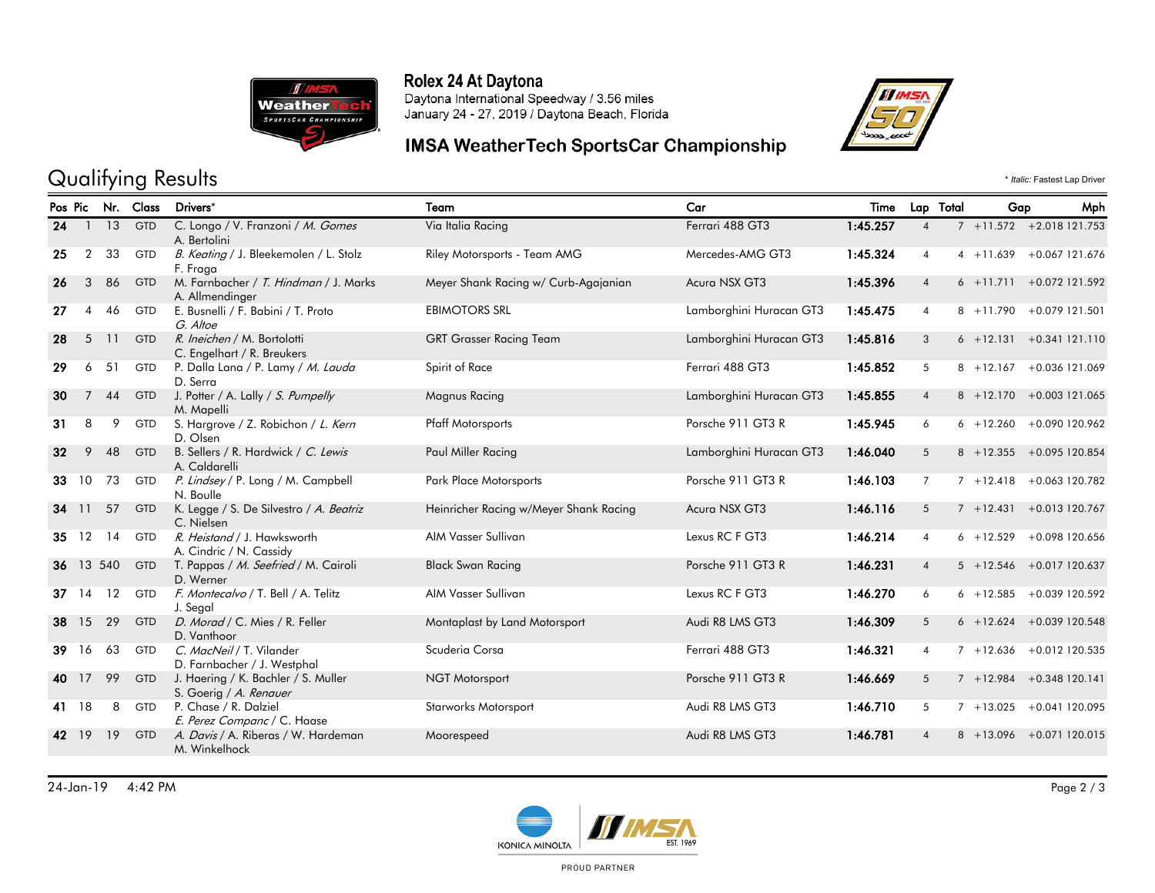

#### Rolex 24 At Daytona

Daytona International Speedway / 3.56 miles January 24 - 27, 2019 / Daytona Beach, Florida

## IMSA WeatherTech SportsCar Championship



# Qualifying Results  $\cdot$  *Italic:* Fastest Lap Driver

|    | Pos Pic Nr. Class |              |            | Drivers*                                                      | Car<br>Team                            |                         | Time     |                           | Lap Total<br>Gap |              | Mph                         |
|----|-------------------|--------------|------------|---------------------------------------------------------------|----------------------------------------|-------------------------|----------|---------------------------|------------------|--------------|-----------------------------|
| 24 |                   | $1 \quad 13$ | <b>GTD</b> | C. Longo / V. Franzoni / M. Gomes<br>A. Bertolini             | Via Italia Racing                      | Ferrari 488 GT3         | 1:45.257 | $\overline{4}$            |                  |              | $7 + 11.572 + 2.018121.753$ |
| 25 | $\overline{2}$    | 33           | <b>GTD</b> | B. Keating / J. Bleekemolen / L. Stolz<br>F. Fraga            | Riley Motorsports - Team AMG           | Mercedes-AMG GT3        | 1:45.324 | $\overline{4}$            |                  | $4 + 11.639$ | +0.067 121.676              |
| 26 | 3                 | 86           | <b>GTD</b> | M. Farnbacher / T. Hindman / J. Marks<br>A. Allmendinger      | Meyer Shank Racing w/ Curb-Agajanian   | Acura NSX GT3           | 1:45.396 | $\overline{4}$            |                  | $6 + 11.711$ | +0.072 121.592              |
| 27 | 4                 | 46           | <b>GTD</b> | E. Busnelli / F. Babini / T. Proto<br>G. Altoe                | <b>EBIMOTORS SRL</b>                   | Lamborghini Huracan GT3 | 1:45.475 | $\overline{4}$            |                  | $8 + 11.790$ | +0.079 121.501              |
| 28 | 5                 | 11           | <b>GTD</b> | R. Ineichen / M. Bortolotti<br>C. Engelhart / R. Breukers     | <b>GRT Grasser Racing Team</b>         | Lamborghini Huracan GT3 | 1:45.816 | 3                         |                  |              | $6 + 12.131 + 0.341121.110$ |
| 29 | 6                 | 51           | <b>GTD</b> | P. Dalla Lana / P. Lamy / M. Lauda<br>D. Serra                | Spirit of Race                         | Ferrari 488 GT3         | 1:45.852 | 5                         |                  | $8 + 12.167$ | +0.036 121.069              |
| 30 | $\overline{7}$    | 44           | <b>GTD</b> | J. Potter / A. Lally / S. Pumpelly<br>M. Mapelli              | <b>Magnus Racing</b>                   | Lamborghini Huracan GT3 | 1:45.855 | $\overline{4}$            |                  |              | 8 +12.170 +0.003 121.065    |
| 31 | 8                 | 9            | GTD        | S. Hargrove / Z. Robichon / L. Kern<br>D. Olsen               | <b>Pfaff Motorsports</b>               | Porsche 911 GT3 R       | 1:45.945 | 6                         |                  | $6 + 12.260$ | +0.090 120.962              |
| 32 | 9                 | 48           | <b>GTD</b> | B. Sellers / R. Hardwick / C. Lewis<br>A. Caldarelli          | Paul Miller Racing                     | Lamborghini Huracan GT3 | 1:46.040 | 5                         |                  | $8 + 12.355$ | +0.095 120.854              |
| 33 | 10                | 73           | <b>GTD</b> | P. Lindsey / P. Long / M. Campbell<br>N. Boulle               | Park Place Motorsports                 | Porsche 911 GT3 R       | 1:46.103 | $\overline{7}$            |                  | $7 + 12.418$ | +0.063 120.782              |
|    | 34 11             | 57           | <b>GTD</b> | K. Legge / S. De Silvestro / A. Beatriz<br>C. Nielsen         | Heinricher Racing w/Meyer Shank Racing | Acura NSX GT3           | 1:46.116 | 5                         |                  | $7 + 12.431$ | +0.013 120.767              |
|    | 35 12             | 14           | <b>GTD</b> | R. Heistand / J. Hawksworth<br>A. Cindric / N. Cassidy        | AIM Vasser Sullivan                    | Lexus RC F GT3          | 1:46.214 | $\overline{4}$            |                  | $6 + 12.529$ | +0.098 120.656              |
|    |                   | 36 13 540    | <b>GTD</b> | T. Pappas / M. Seefried / M. Cairoli<br>D. Werner             | <b>Black Swan Racing</b>               | Porsche 911 GT3 R       | 1:46.231 | $\overline{4}$            |                  |              | 5 +12.546 +0.017 120.637    |
| 37 | 14                | 12           | <b>GTD</b> | F. Montecalvo / T. Bell / A. Telitz<br>J. Segal               | AIM Vasser Sullivan                    | Lexus RC F GT3          | 1:46.270 | 6                         |                  | $6 + 12.585$ | +0.039 120.592              |
| 38 | 15                | 29           | <b>GTD</b> | D. Morad / C. Mies / R. Feller<br>D. Vanthoor                 | Montaplast by Land Motorsport          | Audi R8 LMS GT3         | 1:46.309 | 5                         |                  |              | $6 + 12.624 + 0.039120.548$ |
| 39 | 16                | 63           | <b>GTD</b> | C. MacNeil / T. Vilander<br>D. Farnbacher / J. Westphal       | Scuderia Corsa                         | Ferrari 488 GT3         | 1:46.321 | 4                         |                  | $7 + 12.636$ | +0.012 120.535              |
| 40 | 17                | 99           | <b>GTD</b> | J. Haering / K. Bachler / S. Muller<br>S. Goerig / A. Renauer | <b>NGT Motorsport</b>                  | Porsche 911 GT3 R       | 1:46.669 | 5                         |                  |              | $7 + 12.984 + 0.348120.141$ |
| 41 | 18                | 8            | GTD        | P. Chase / R. Dalziel<br>E. Perez Companc / C. Haase          | Starworks Motorsport                   | Audi R8 LMS GT3         | 1:46.710 | 5                         |                  | $7 + 13.025$ | +0.041 120.095              |
| 42 | 19                | 19           | <b>GTD</b> | A. Davis / A. Riberas / W. Hardeman<br>M. Winkelhock          | Moorespeed                             | Audi R8 LMS GT3         | 1:46.781 | $\boldsymbol{\varLambda}$ |                  |              | $8 + 13.096 + 0.071120.015$ |